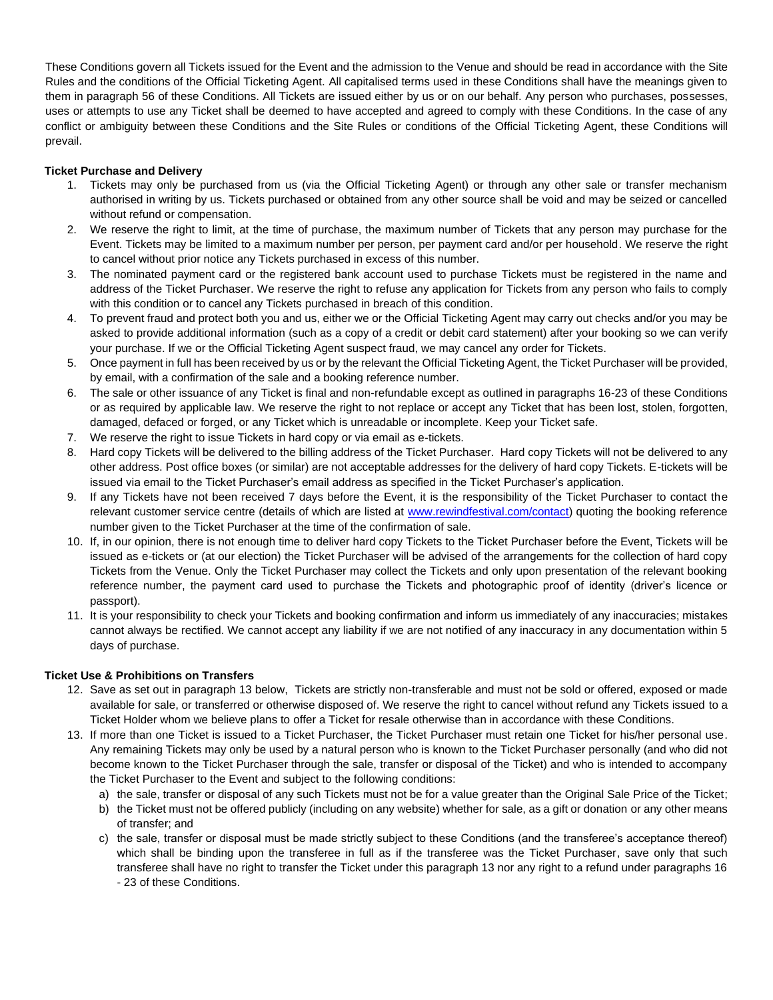These Conditions govern all Tickets issued for the Event and the admission to the Venue and should be read in accordance with the Site Rules and the conditions of the Official Ticketing Agent. All capitalised terms used in these Conditions shall have the meanings given to them in paragraph 56 of these Conditions. All Tickets are issued either by us or on our behalf. Any person who purchases, possesses, uses or attempts to use any Ticket shall be deemed to have accepted and agreed to comply with these Conditions. In the case of any conflict or ambiguity between these Conditions and the Site Rules or conditions of the Official Ticketing Agent, these Conditions will prevail.

## **Ticket Purchase and Delivery**

- 1. Tickets may only be purchased from us (via the Official Ticketing Agent) or through any other sale or transfer mechanism authorised in writing by us. Tickets purchased or obtained from any other source shall be void and may be seized or cancelled without refund or compensation.
- 2. We reserve the right to limit, at the time of purchase, the maximum number of Tickets that any person may purchase for the Event. Tickets may be limited to a maximum number per person, per payment card and/or per household. We reserve the right to cancel without prior notice any Tickets purchased in excess of this number.
- 3. The nominated payment card or the registered bank account used to purchase Tickets must be registered in the name and address of the Ticket Purchaser. We reserve the right to refuse any application for Tickets from any person who fails to comply with this condition or to cancel any Tickets purchased in breach of this condition.
- 4. To prevent fraud and protect both you and us, either we or the Official Ticketing Agent may carry out checks and/or you may be asked to provide additional information (such as a copy of a credit or debit card statement) after your booking so we can verify your purchase. If we or the Official Ticketing Agent suspect fraud, we may cancel any order for Tickets.
- 5. Once payment in full has been received by us or by the relevant the Official Ticketing Agent, the Ticket Purchaser will be provided, by email, with a confirmation of the sale and a booking reference number.
- 6. The sale or other issuance of any Ticket is final and non-refundable except as outlined in paragraphs 16-23 of these Conditions or as required by applicable law. We reserve the right to not replace or accept any Ticket that has been lost, stolen, forgotten, damaged, defaced or forged, or any Ticket which is unreadable or incomplete. Keep your Ticket safe.
- 7. We reserve the right to issue Tickets in hard copy or via email as e-tickets.
- 8. Hard copy Tickets will be delivered to the billing address of the Ticket Purchaser. Hard copy Tickets will not be delivered to any other address. Post office boxes (or similar) are not acceptable addresses for the delivery of hard copy Tickets. E-tickets will be issued via email to the Ticket Purchaser's email address as specified in the Ticket Purchaser's application.
- 9. If any Tickets have not been received 7 days before the Event, it is the responsibility of the Ticket Purchaser to contact the relevant customer service centre (details of which are listed at www.rewindfestival.com/contact) quoting the booking reference number given to the Ticket Purchaser at the time of the confirmation of sale.
- 10. If, in our opinion, there is not enough time to deliver hard copy Tickets to the Ticket Purchaser before the Event, Tickets will be issued as e-tickets or (at our election) the Ticket Purchaser will be advised of the arrangements for the collection of hard copy Tickets from the Venue. Only the Ticket Purchaser may collect the Tickets and only upon presentation of the relevant booking reference number, the payment card used to purchase the Tickets and photographic proof of identity (driver's licence or passport).
- 11. It is your responsibility to check your Tickets and booking confirmation and inform us immediately of any inaccuracies; mistakes cannot always be rectified. We cannot accept any liability if we are not notified of any inaccuracy in any documentation within 5 days of purchase.

## **Ticket Use & Prohibitions on Transfers**

- 12. Save as set out in paragraph 13 below, Tickets are strictly non-transferable and must not be sold or offered, exposed or made available for sale, or transferred or otherwise disposed of. We reserve the right to cancel without refund any Tickets issued to a Ticket Holder whom we believe plans to offer a Ticket for resale otherwise than in accordance with these Conditions.
- 13. If more than one Ticket is issued to a Ticket Purchaser, the Ticket Purchaser must retain one Ticket for his/her personal use. Any remaining Tickets may only be used by a natural person who is known to the Ticket Purchaser personally (and who did not become known to the Ticket Purchaser through the sale, transfer or disposal of the Ticket) and who is intended to accompany the Ticket Purchaser to the Event and subject to the following conditions:
	- a) the sale, transfer or disposal of any such Tickets must not be for a value greater than the Original Sale Price of the Ticket;
	- b) the Ticket must not be offered publicly (including on any website) whether for sale, as a gift or donation or any other means of transfer; and
	- c) the sale, transfer or disposal must be made strictly subject to these Conditions (and the transferee's acceptance thereof) which shall be binding upon the transferee in full as if the transferee was the Ticket Purchaser, save only that such transferee shall have no right to transfer the Ticket under this paragraph 13 nor any right to a refund under paragraphs 16 - 23 of these Conditions.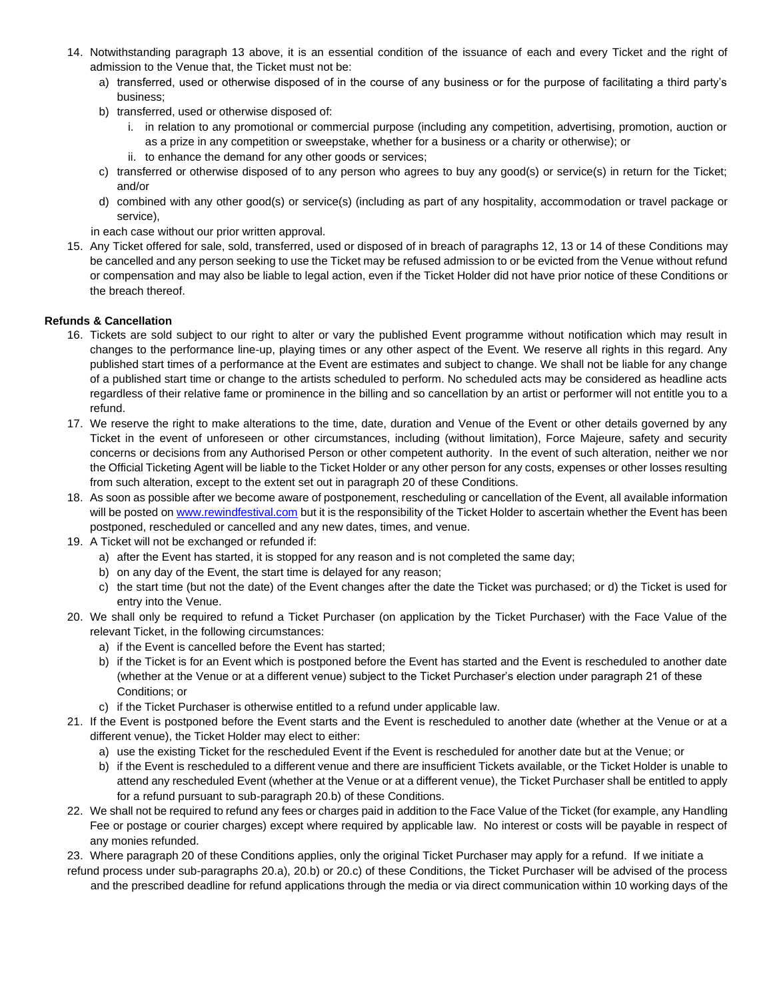- 14. Notwithstanding paragraph 13 above, it is an essential condition of the issuance of each and every Ticket and the right of admission to the Venue that, the Ticket must not be:
	- a) transferred, used or otherwise disposed of in the course of any business or for the purpose of facilitating a third party's business;
	- b) transferred, used or otherwise disposed of:
		- i. in relation to any promotional or commercial purpose (including any competition, advertising, promotion, auction or as a prize in any competition or sweepstake, whether for a business or a charity or otherwise); or
		- ii. to enhance the demand for any other goods or services;
	- c) transferred or otherwise disposed of to any person who agrees to buy any good(s) or service(s) in return for the Ticket; and/or
	- d) combined with any other good(s) or service(s) (including as part of any hospitality, accommodation or travel package or service),

in each case without our prior written approval.

15. Any Ticket offered for sale, sold, transferred, used or disposed of in breach of paragraphs 12, 13 or 14 of these Conditions may be cancelled and any person seeking to use the Ticket may be refused admission to or be evicted from the Venue without refund or compensation and may also be liable to legal action, even if the Ticket Holder did not have prior notice of these Conditions or the breach thereof.

### **Refunds & Cancellation**

- 16. Tickets are sold subject to our right to alter or vary the published Event programme without notification which may result in changes to the performance line-up, playing times or any other aspect of the Event. We reserve all rights in this regard. Any published start times of a performance at the Event are estimates and subject to change. We shall not be liable for any change of a published start time or change to the artists scheduled to perform. No scheduled acts may be considered as headline acts regardless of their relative fame or prominence in the billing and so cancellation by an artist or performer will not entitle you to a refund.
- 17. We reserve the right to make alterations to the time, date, duration and Venue of the Event or other details governed by any Ticket in the event of unforeseen or other circumstances, including (without limitation), Force Majeure, safety and security concerns or decisions from any Authorised Person or other competent authority. In the event of such alteration, neither we nor the Official Ticketing Agent will be liable to the Ticket Holder or any other person for any costs, expenses or other losses resulting from such alteration, except to the extent set out in paragraph 20 of these Conditions.
- 18. As soon as possible after we become aware of postponement, rescheduling or cancellation of the Event, all available information will be posted on www.rewindfestival.com but it is the responsibility of the Ticket Holder to ascertain whether the Event has been postponed, rescheduled or cancelled and any new dates, times, and venue.
- 19. A Ticket will not be exchanged or refunded if:
	- a) after the Event has started, it is stopped for any reason and is not completed the same day;
	- b) on any day of the Event, the start time is delayed for any reason;
	- c) the start time (but not the date) of the Event changes after the date the Ticket was purchased; or d) the Ticket is used for entry into the Venue.
- 20. We shall only be required to refund a Ticket Purchaser (on application by the Ticket Purchaser) with the Face Value of the relevant Ticket, in the following circumstances:
	- a) if the Event is cancelled before the Event has started;
	- b) if the Ticket is for an Event which is postponed before the Event has started and the Event is rescheduled to another date (whether at the Venue or at a different venue) subject to the Ticket Purchaser's election under paragraph 21 of these Conditions; or
	- c) if the Ticket Purchaser is otherwise entitled to a refund under applicable law.
- 21. If the Event is postponed before the Event starts and the Event is rescheduled to another date (whether at the Venue or at a different venue), the Ticket Holder may elect to either:
	- a) use the existing Ticket for the rescheduled Event if the Event is rescheduled for another date but at the Venue; or
	- b) if the Event is rescheduled to a different venue and there are insufficient Tickets available, or the Ticket Holder is unable to attend any rescheduled Event (whether at the Venue or at a different venue), the Ticket Purchaser shall be entitled to apply for a refund pursuant to sub-paragraph 20.b) of these Conditions.
- 22. We shall not be required to refund any fees or charges paid in addition to the Face Value of the Ticket (for example, any Handling Fee or postage or courier charges) except where required by applicable law. No interest or costs will be payable in respect of any monies refunded.
- 23. Where paragraph 20 of these Conditions applies, only the original Ticket Purchaser may apply for a refund. If we initiate a
- refund process under sub-paragraphs 20.a), 20.b) or 20.c) of these Conditions, the Ticket Purchaser will be advised of the process and the prescribed deadline for refund applications through the media or via direct communication within 10 working days of the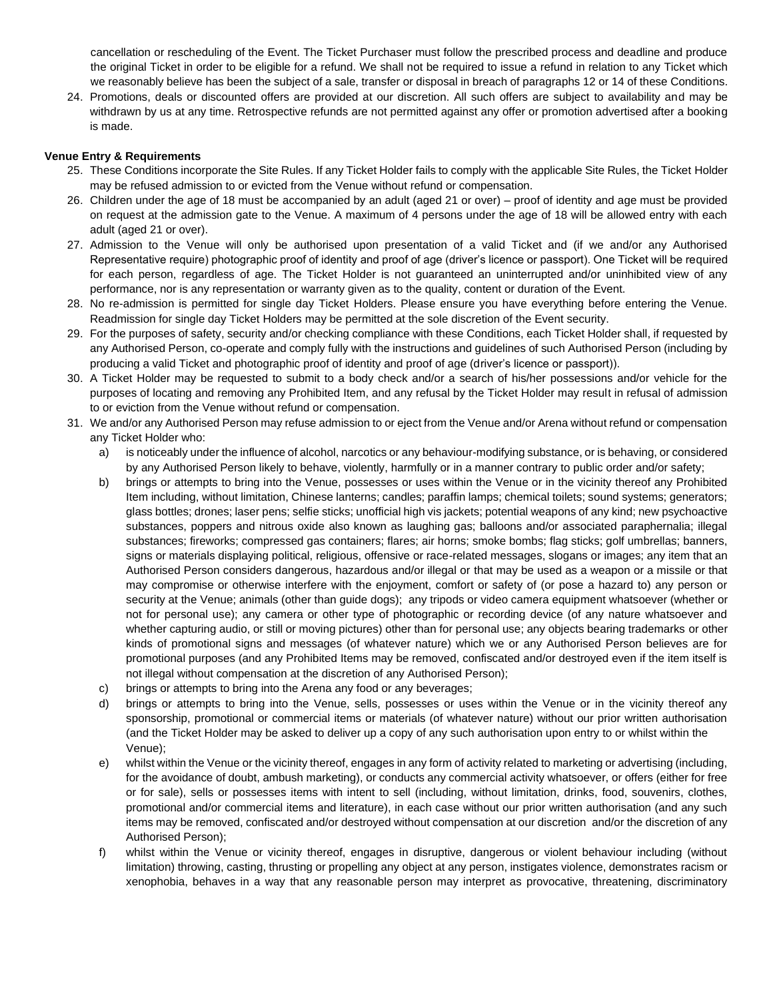cancellation or rescheduling of the Event. The Ticket Purchaser must follow the prescribed process and deadline and produce the original Ticket in order to be eligible for a refund. We shall not be required to issue a refund in relation to any Ticket which we reasonably believe has been the subject of a sale, transfer or disposal in breach of paragraphs 12 or 14 of these Conditions.

24. Promotions, deals or discounted offers are provided at our discretion. All such offers are subject to availability and may be withdrawn by us at any time. Retrospective refunds are not permitted against any offer or promotion advertised after a booking is made.

### **Venue Entry & Requirements**

- 25. These Conditions incorporate the Site Rules. If any Ticket Holder fails to comply with the applicable Site Rules, the Ticket Holder may be refused admission to or evicted from the Venue without refund or compensation.
- 26. Children under the age of 18 must be accompanied by an adult (aged 21 or over) proof of identity and age must be provided on request at the admission gate to the Venue. A maximum of 4 persons under the age of 18 will be allowed entry with each adult (aged 21 or over).
- 27. Admission to the Venue will only be authorised upon presentation of a valid Ticket and (if we and/or any Authorised Representative require) photographic proof of identity and proof of age (driver's licence or passport). One Ticket will be required for each person, regardless of age. The Ticket Holder is not guaranteed an uninterrupted and/or uninhibited view of any performance, nor is any representation or warranty given as to the quality, content or duration of the Event.
- 28. No re-admission is permitted for single day Ticket Holders. Please ensure you have everything before entering the Venue. Readmission for single day Ticket Holders may be permitted at the sole discretion of the Event security.
- 29. For the purposes of safety, security and/or checking compliance with these Conditions, each Ticket Holder shall, if requested by any Authorised Person, co-operate and comply fully with the instructions and guidelines of such Authorised Person (including by producing a valid Ticket and photographic proof of identity and proof of age (driver's licence or passport)).
- 30. A Ticket Holder may be requested to submit to a body check and/or a search of his/her possessions and/or vehicle for the purposes of locating and removing any Prohibited Item, and any refusal by the Ticket Holder may result in refusal of admission to or eviction from the Venue without refund or compensation.
- 31. We and/or any Authorised Person may refuse admission to or eject from the Venue and/or Arena without refund or compensation any Ticket Holder who:
	- a) is noticeably under the influence of alcohol, narcotics or any behaviour-modifying substance, or is behaving, or considered by any Authorised Person likely to behave, violently, harmfully or in a manner contrary to public order and/or safety;
	- b) brings or attempts to bring into the Venue, possesses or uses within the Venue or in the vicinity thereof any Prohibited Item including, without limitation, Chinese lanterns; candles; paraffin lamps; chemical toilets; sound systems; generators; glass bottles; drones; laser pens; selfie sticks; unofficial high vis jackets; potential weapons of any kind; new psychoactive substances, poppers and nitrous oxide also known as laughing gas; balloons and/or associated paraphernalia; illegal substances; fireworks; compressed gas containers; flares; air horns; smoke bombs; flag sticks; golf umbrellas; banners, signs or materials displaying political, religious, offensive or race-related messages, slogans or images; any item that an Authorised Person considers dangerous, hazardous and/or illegal or that may be used as a weapon or a missile or that may compromise or otherwise interfere with the enjoyment, comfort or safety of (or pose a hazard to) any person or security at the Venue; animals (other than guide dogs); any tripods or video camera equipment whatsoever (whether or not for personal use); any camera or other type of photographic or recording device (of any nature whatsoever and whether capturing audio, or still or moving pictures) other than for personal use; any objects bearing trademarks or other kinds of promotional signs and messages (of whatever nature) which we or any Authorised Person believes are for promotional purposes (and any Prohibited Items may be removed, confiscated and/or destroyed even if the item itself is not illegal without compensation at the discretion of any Authorised Person);
	- c) brings or attempts to bring into the Arena any food or any beverages;
	- d) brings or attempts to bring into the Venue, sells, possesses or uses within the Venue or in the vicinity thereof any sponsorship, promotional or commercial items or materials (of whatever nature) without our prior written authorisation (and the Ticket Holder may be asked to deliver up a copy of any such authorisation upon entry to or whilst within the Venue);
	- e) whilst within the Venue or the vicinity thereof, engages in any form of activity related to marketing or advertising (including, for the avoidance of doubt, ambush marketing), or conducts any commercial activity whatsoever, or offers (either for free or for sale), sells or possesses items with intent to sell (including, without limitation, drinks, food, souvenirs, clothes, promotional and/or commercial items and literature), in each case without our prior written authorisation (and any such items may be removed, confiscated and/or destroyed without compensation at our discretion and/or the discretion of any Authorised Person);
	- f) whilst within the Venue or vicinity thereof, engages in disruptive, dangerous or violent behaviour including (without limitation) throwing, casting, thrusting or propelling any object at any person, instigates violence, demonstrates racism or xenophobia, behaves in a way that any reasonable person may interpret as provocative, threatening, discriminatory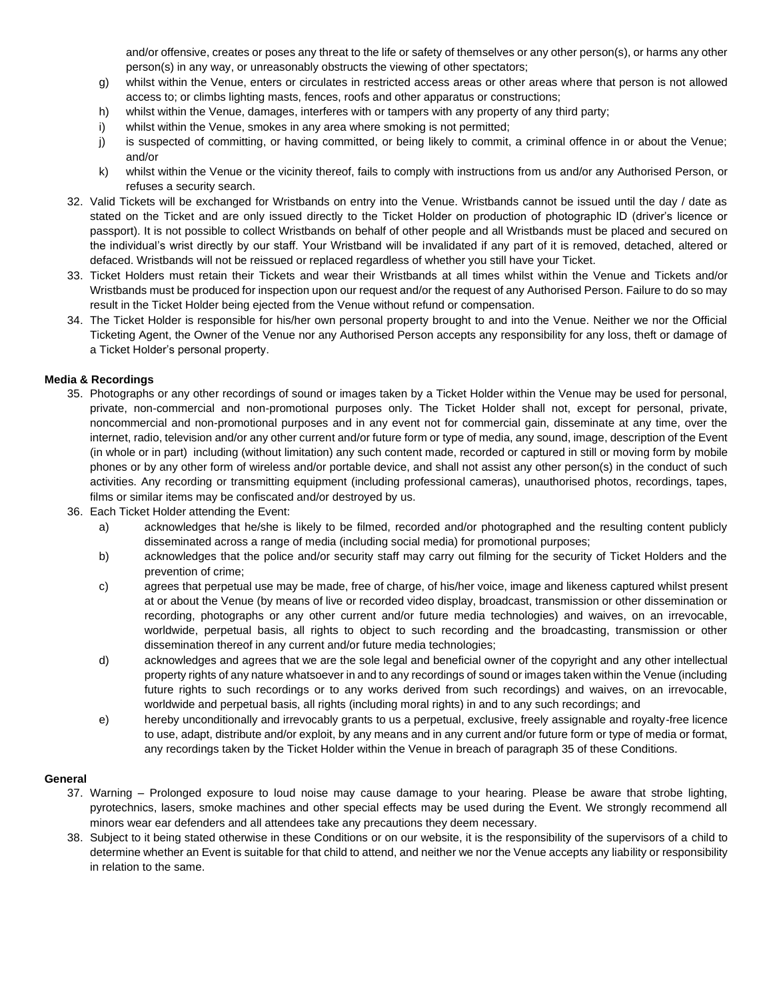and/or offensive, creates or poses any threat to the life or safety of themselves or any other person(s), or harms any other person(s) in any way, or unreasonably obstructs the viewing of other spectators;

- g) whilst within the Venue, enters or circulates in restricted access areas or other areas where that person is not allowed access to; or climbs lighting masts, fences, roofs and other apparatus or constructions;
- h) whilst within the Venue, damages, interferes with or tampers with any property of any third party;
- i) whilst within the Venue, smokes in any area where smoking is not permitted;
- j) is suspected of committing, or having committed, or being likely to commit, a criminal offence in or about the Venue; and/or
- k) whilst within the Venue or the vicinity thereof, fails to comply with instructions from us and/or any Authorised Person, or refuses a security search.
- 32. Valid Tickets will be exchanged for Wristbands on entry into the Venue. Wristbands cannot be issued until the day / date as stated on the Ticket and are only issued directly to the Ticket Holder on production of photographic ID (driver's licence or passport). It is not possible to collect Wristbands on behalf of other people and all Wristbands must be placed and secured on the individual's wrist directly by our staff. Your Wristband will be invalidated if any part of it is removed, detached, altered or defaced. Wristbands will not be reissued or replaced regardless of whether you still have your Ticket.
- 33. Ticket Holders must retain their Tickets and wear their Wristbands at all times whilst within the Venue and Tickets and/or Wristbands must be produced for inspection upon our request and/or the request of any Authorised Person. Failure to do so may result in the Ticket Holder being ejected from the Venue without refund or compensation.
- 34. The Ticket Holder is responsible for his/her own personal property brought to and into the Venue. Neither we nor the Official Ticketing Agent, the Owner of the Venue nor any Authorised Person accepts any responsibility for any loss, theft or damage of a Ticket Holder's personal property.

### **Media & Recordings**

- 35. Photographs or any other recordings of sound or images taken by a Ticket Holder within the Venue may be used for personal, private, non-commercial and non-promotional purposes only. The Ticket Holder shall not, except for personal, private, noncommercial and non-promotional purposes and in any event not for commercial gain, disseminate at any time, over the internet, radio, television and/or any other current and/or future form or type of media, any sound, image, description of the Event (in whole or in part) including (without limitation) any such content made, recorded or captured in still or moving form by mobile phones or by any other form of wireless and/or portable device, and shall not assist any other person(s) in the conduct of such activities. Any recording or transmitting equipment (including professional cameras), unauthorised photos, recordings, tapes, films or similar items may be confiscated and/or destroyed by us.
- 36. Each Ticket Holder attending the Event:
	- a) acknowledges that he/she is likely to be filmed, recorded and/or photographed and the resulting content publicly disseminated across a range of media (including social media) for promotional purposes;
	- b) acknowledges that the police and/or security staff may carry out filming for the security of Ticket Holders and the prevention of crime;
	- c) agrees that perpetual use may be made, free of charge, of his/her voice, image and likeness captured whilst present at or about the Venue (by means of live or recorded video display, broadcast, transmission or other dissemination or recording, photographs or any other current and/or future media technologies) and waives, on an irrevocable, worldwide, perpetual basis, all rights to object to such recording and the broadcasting, transmission or other dissemination thereof in any current and/or future media technologies;
	- d) acknowledges and agrees that we are the sole legal and beneficial owner of the copyright and any other intellectual property rights of any nature whatsoever in and to any recordings of sound or images taken within the Venue (including future rights to such recordings or to any works derived from such recordings) and waives, on an irrevocable, worldwide and perpetual basis, all rights (including moral rights) in and to any such recordings; and
	- e) hereby unconditionally and irrevocably grants to us a perpetual, exclusive, freely assignable and royalty-free licence to use, adapt, distribute and/or exploit, by any means and in any current and/or future form or type of media or format, any recordings taken by the Ticket Holder within the Venue in breach of paragraph 35 of these Conditions.

#### **General**

- 37. Warning Prolonged exposure to loud noise may cause damage to your hearing. Please be aware that strobe lighting, pyrotechnics, lasers, smoke machines and other special effects may be used during the Event. We strongly recommend all minors wear ear defenders and all attendees take any precautions they deem necessary.
- 38. Subject to it being stated otherwise in these Conditions or on our website, it is the responsibility of the supervisors of a child to determine whether an Event is suitable for that child to attend, and neither we nor the Venue accepts any liability or responsibility in relation to the same.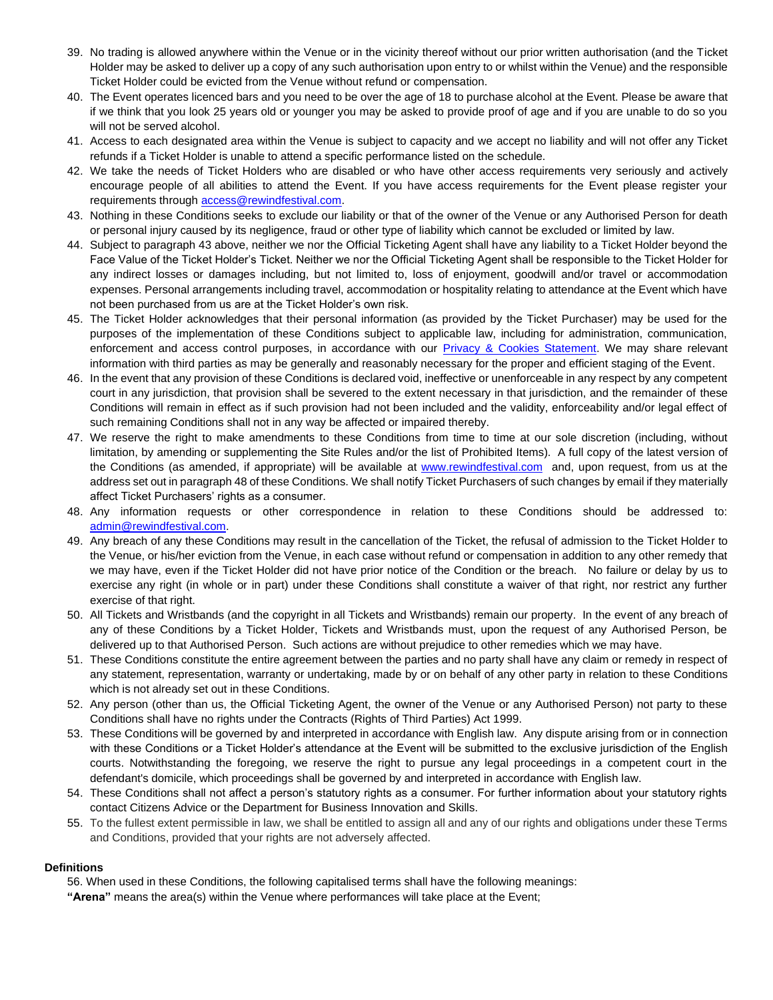- 39. No trading is allowed anywhere within the Venue or in the vicinity thereof without our prior written authorisation (and the Ticket Holder may be asked to deliver up a copy of any such authorisation upon entry to or whilst within the Venue) and the responsible Ticket Holder could be evicted from the Venue without refund or compensation.
- 40. The Event operates licenced bars and you need to be over the age of 18 to purchase alcohol at the Event. Please be aware that if we think that you look 25 years old or younger you may be asked to provide proof of age and if you are unable to do so you will not be served alcohol.
- 41. Access to each designated area within the Venue is subject to capacity and we accept no liability and will not offer any Ticket refunds if a Ticket Holder is unable to attend a specific performance listed on the schedule.
- 42. We take the needs of Ticket Holders who are disabled or who have other access requirements very seriously and actively encourage people of all abilities to attend the Event. If you have access requirements for the Event please register your requirements through access@rewindfestival.com.
- 43. Nothing in these Conditions seeks to exclude our liability or that of the owner of the Venue or any Authorised Person for death or personal injury caused by its negligence, fraud or other type of liability which cannot be excluded or limited by law.
- 44. Subject to paragraph 43 above, neither we nor the Official Ticketing Agent shall have any liability to a Ticket Holder beyond the Face Value of the Ticket Holder's Ticket. Neither we nor the Official Ticketing Agent shall be responsible to the Ticket Holder for any indirect losses or damages including, but not limited to, loss of enjoyment, goodwill and/or travel or accommodation expenses. Personal arrangements including travel, accommodation or hospitality relating to attendance at the Event which have not been purchased from us are at the Ticket Holder's own risk.
- 45. The Ticket Holder acknowledges that their personal information (as provided by the Ticket Purchaser) may be used for the purposes of the implementation of these Conditions subject to applicable law, including for administration, communication, enforcement and access control purposes, in accordance with our **Privacy & Cookies Statement**. We may share relevant information with third parties as may be generally and reasonably necessary for the proper and efficient staging of the Event.
- 46. In the event that any provision of these Conditions is declared void, ineffective or unenforceable in any respect by any competent court in any jurisdiction, that provision shall be severed to the extent necessary in that jurisdiction, and the remainder of these Conditions will remain in effect as if such provision had not been included and the validity, enforceability and/or legal effect of such remaining Conditions shall not in any way be affected or impaired thereby.
- 47. We reserve the right to make amendments to these Conditions from time to time at our sole discretion (including, without limitation, by amending or supplementing the Site Rules and/or the list of Prohibited Items). A full copy of the latest version of the Conditions (as amended, if appropriate) will be available at www.rewindfestival.com and, upon request, from us at the address set out in paragraph 48 of these Conditions. We shall notify Ticket Purchasers of such changes by email if they materially affect Ticket Purchasers' rights as a consumer.
- 48. Any information requests or other correspondence in relation to these Conditions should be addressed to: admin@rewindfestival.com.
- 49. Any breach of any these Conditions may result in the cancellation of the Ticket, the refusal of admission to the Ticket Holder to the Venue, or his/her eviction from the Venue, in each case without refund or compensation in addition to any other remedy that we may have, even if the Ticket Holder did not have prior notice of the Condition or the breach. No failure or delay by us to exercise any right (in whole or in part) under these Conditions shall constitute a waiver of that right, nor restrict any further exercise of that right.
- 50. All Tickets and Wristbands (and the copyright in all Tickets and Wristbands) remain our property. In the event of any breach of any of these Conditions by a Ticket Holder, Tickets and Wristbands must, upon the request of any Authorised Person, be delivered up to that Authorised Person. Such actions are without prejudice to other remedies which we may have.
- 51. These Conditions constitute the entire agreement between the parties and no party shall have any claim or remedy in respect of any statement, representation, warranty or undertaking, made by or on behalf of any other party in relation to these Conditions which is not already set out in these Conditions.
- 52. Any person (other than us, the Official Ticketing Agent, the owner of the Venue or any Authorised Person) not party to these Conditions shall have no rights under the Contracts (Rights of Third Parties) Act 1999.
- 53. These Conditions will be governed by and interpreted in accordance with English law. Any dispute arising from or in connection with these Conditions or a Ticket Holder's attendance at the Event will be submitted to the exclusive jurisdiction of the English courts. Notwithstanding the foregoing, we reserve the right to pursue any legal proceedings in a competent court in the defendant's domicile, which proceedings shall be governed by and interpreted in accordance with English law.
- 54. These Conditions shall not affect a person's statutory rights as a consumer. For further information about your statutory rights contact Citizens Advice or the Department for Business Innovation and Skills.
- 55. To the fullest extent permissible in law, we shall be entitled to assign all and any of our rights and obligations under these Terms and Conditions, provided that your rights are not adversely affected.

## **Definitions**

56. When used in these Conditions, the following capitalised terms shall have the following meanings:

**"Arena"** means the area(s) within the Venue where performances will take place at the Event;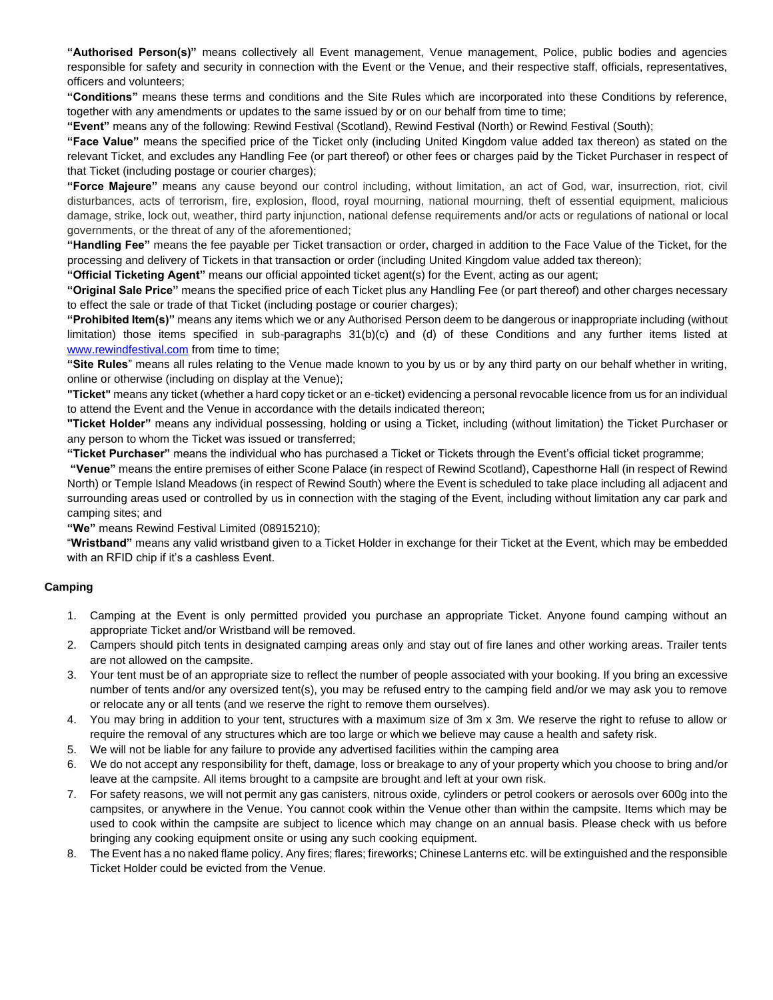**"Authorised Person(s)"** means collectively all Event management, Venue management, Police, public bodies and agencies responsible for safety and security in connection with the Event or the Venue, and their respective staff, officials, representatives, officers and volunteers;

**"Conditions"** means these terms and conditions and the Site Rules which are incorporated into these Conditions by reference, together with any amendments or updates to the same issued by or on our behalf from time to time;

**"Event"** means any of the following: Rewind Festival (Scotland), Rewind Festival (North) or Rewind Festival (South);

**"Face Value"** means the specified price of the Ticket only (including United Kingdom value added tax thereon) as stated on the relevant Ticket, and excludes any Handling Fee (or part thereof) or other fees or charges paid by the Ticket Purchaser in respect of that Ticket (including postage or courier charges);

**"Force Majeure"** means any cause beyond our control including, without limitation, an act of God, war, insurrection, riot, civil disturbances, acts of terrorism, fire, explosion, flood, royal mourning, national mourning, theft of essential equipment, malicious damage, strike, lock out, weather, third party injunction, national defense requirements and/or acts or regulations of national or local governments, or the threat of any of the aforementioned;

**"Handling Fee"** means the fee payable per Ticket transaction or order, charged in addition to the Face Value of the Ticket, for the processing and delivery of Tickets in that transaction or order (including United Kingdom value added tax thereon);

**"Official Ticketing Agent"** means our official appointed ticket agent(s) for the Event, acting as our agent;

**"Original Sale Price"** means the specified price of each Ticket plus any Handling Fee (or part thereof) and other charges necessary to effect the sale or trade of that Ticket (including postage or courier charges);

**"Prohibited Item(s)"** means any items which we or any Authorised Person deem to be dangerous or inappropriate including (without limitation) those items specified in sub-paragraphs 31(b)(c) and (d) of these Conditions and any further items listed at www.rewindfestival.com from time to time;

**"Site Rules**" means all rules relating to the Venue made known to you by us or by any third party on our behalf whether in writing, online or otherwise (including on display at the Venue);

**"Ticket"** means any ticket (whether a hard copy ticket or an e-ticket) evidencing a personal revocable licence from us for an individual to attend the Event and the Venue in accordance with the details indicated thereon;

**"Ticket Holder"** means any individual possessing, holding or using a Ticket, including (without limitation) the Ticket Purchaser or any person to whom the Ticket was issued or transferred;

**"Ticket Purchaser"** means the individual who has purchased a Ticket or Tickets through the Event's official ticket programme;

**"Venue"** means the entire premises of either Scone Palace (in respect of Rewind Scotland), Capesthorne Hall (in respect of Rewind North) or Temple Island Meadows (in respect of Rewind South) where the Event is scheduled to take place including all adjacent and surrounding areas used or controlled by us in connection with the staging of the Event, including without limitation any car park and camping sites; and

**"We"** means Rewind Festival Limited (08915210);

"**Wristband"** means any valid wristband given to a Ticket Holder in exchange for their Ticket at the Event, which may be embedded with an RFID chip if it's a cashless Event.

## **Camping**

- 1. Camping at the Event is only permitted provided you purchase an appropriate Ticket. Anyone found camping without an appropriate Ticket and/or Wristband will be removed.
- 2. Campers should pitch tents in designated camping areas only and stay out of fire lanes and other working areas. Trailer tents are not allowed on the campsite.
- 3. Your tent must be of an appropriate size to reflect the number of people associated with your booking. If you bring an excessive number of tents and/or any oversized tent(s), you may be refused entry to the camping field and/or we may ask you to remove or relocate any or all tents (and we reserve the right to remove them ourselves).
- 4. You may bring in addition to your tent, structures with a maximum size of 3m x 3m. We reserve the right to refuse to allow or require the removal of any structures which are too large or which we believe may cause a health and safety risk.
- 5. We will not be liable for any failure to provide any advertised facilities within the camping area
- 6. We do not accept any responsibility for theft, damage, loss or breakage to any of your property which you choose to bring and/or leave at the campsite. All items brought to a campsite are brought and left at your own risk.
- 7. For safety reasons, we will not permit any gas canisters, nitrous oxide, cylinders or petrol cookers or aerosols over 600g into the campsites, or anywhere in the Venue. You cannot cook within the Venue other than within the campsite. Items which may be used to cook within the campsite are subject to licence which may change on an annual basis. Please check with us before bringing any cooking equipment onsite or using any such cooking equipment.
- 8. The Event has a no naked flame policy. Any fires; flares; fireworks; Chinese Lanterns etc. will be extinguished and the responsible Ticket Holder could be evicted from the Venue.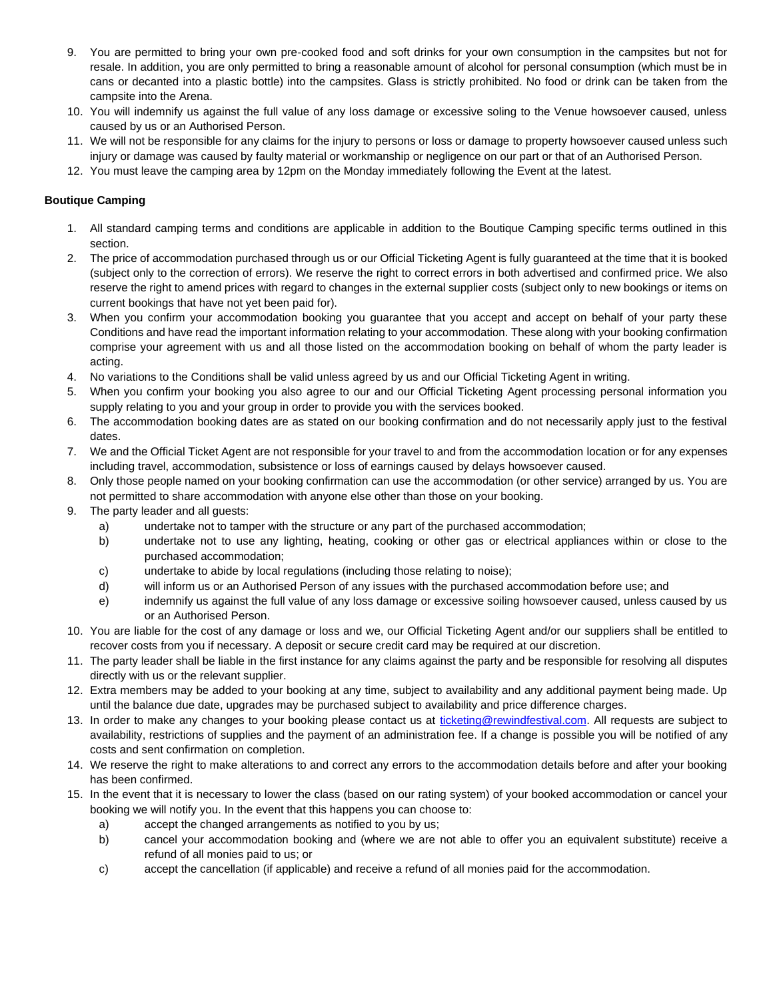- 9. You are permitted to bring your own pre-cooked food and soft drinks for your own consumption in the campsites but not for resale. In addition, you are only permitted to bring a reasonable amount of alcohol for personal consumption (which must be in cans or decanted into a plastic bottle) into the campsites. Glass is strictly prohibited. No food or drink can be taken from the campsite into the Arena.
- 10. You will indemnify us against the full value of any loss damage or excessive soling to the Venue howsoever caused, unless caused by us or an Authorised Person.
- 11. We will not be responsible for any claims for the injury to persons or loss or damage to property howsoever caused unless such injury or damage was caused by faulty material or workmanship or negligence on our part or that of an Authorised Person.
- 12. You must leave the camping area by 12pm on the Monday immediately following the Event at the latest.

# **Boutique Camping**

- 1. All standard camping terms and conditions are applicable in addition to the Boutique Camping specific terms outlined in this section.
- 2. The price of accommodation purchased through us or our Official Ticketing Agent is fully guaranteed at the time that it is booked (subject only to the correction of errors). We reserve the right to correct errors in both advertised and confirmed price. We also reserve the right to amend prices with regard to changes in the external supplier costs (subject only to new bookings or items on current bookings that have not yet been paid for).
- 3. When you confirm your accommodation booking you guarantee that you accept and accept on behalf of your party these Conditions and have read the important information relating to your accommodation. These along with your booking confirmation comprise your agreement with us and all those listed on the accommodation booking on behalf of whom the party leader is acting.
- 4. No variations to the Conditions shall be valid unless agreed by us and our Official Ticketing Agent in writing.
- 5. When you confirm your booking you also agree to our and our Official Ticketing Agent processing personal information you supply relating to you and your group in order to provide you with the services booked.
- 6. The accommodation booking dates are as stated on our booking confirmation and do not necessarily apply just to the festival dates.
- 7. We and the Official Ticket Agent are not responsible for your travel to and from the accommodation location or for any expenses including travel, accommodation, subsistence or loss of earnings caused by delays howsoever caused.
- 8. Only those people named on your booking confirmation can use the accommodation (or other service) arranged by us. You are not permitted to share accommodation with anyone else other than those on your booking.
- 9. The party leader and all guests:
	- a) undertake not to tamper with the structure or any part of the purchased accommodation;
	- b) undertake not to use any lighting, heating, cooking or other gas or electrical appliances within or close to the purchased accommodation;
	- c) undertake to abide by local regulations (including those relating to noise);
	- d) will inform us or an Authorised Person of any issues with the purchased accommodation before use; and
	- e) indemnify us against the full value of any loss damage or excessive soiling howsoever caused, unless caused by us or an Authorised Person.
- 10. You are liable for the cost of any damage or loss and we, our Official Ticketing Agent and/or our suppliers shall be entitled to recover costs from you if necessary. A deposit or secure credit card may be required at our discretion.
- 11. The party leader shall be liable in the first instance for any claims against the party and be responsible for resolving all disputes directly with us or the relevant supplier.
- 12. Extra members may be added to your booking at any time, subject to availability and any additional payment being made. Up until the balance due date, upgrades may be purchased subject to availability and price difference charges.
- 13. In order to make any changes to your booking please contact us at ticketing@rewindfestival.com. All requests are subject to availability, restrictions of supplies and the payment of an administration fee. If a change is possible you will be notified of any costs and sent confirmation on completion.
- 14. We reserve the right to make alterations to and correct any errors to the accommodation details before and after your booking has been confirmed.
- 15. In the event that it is necessary to lower the class (based on our rating system) of your booked accommodation or cancel your booking we will notify you. In the event that this happens you can choose to:
	- a) accept the changed arrangements as notified to you by us;
	- b) cancel your accommodation booking and (where we are not able to offer you an equivalent substitute) receive a refund of all monies paid to us; or
	- c) accept the cancellation (if applicable) and receive a refund of all monies paid for the accommodation.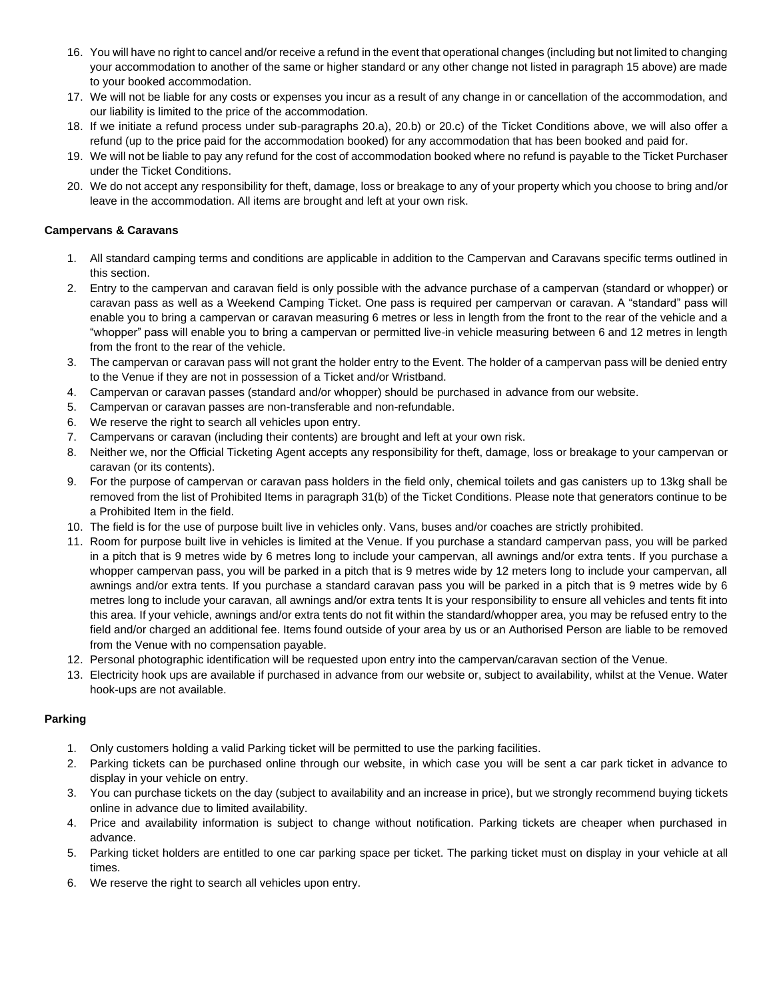- 16. You will have no right to cancel and/or receive a refund in the event that operational changes (including but not limited to changing your accommodation to another of the same or higher standard or any other change not listed in paragraph 15 above) are made to your booked accommodation.
- 17. We will not be liable for any costs or expenses you incur as a result of any change in or cancellation of the accommodation, and our liability is limited to the price of the accommodation.
- 18. If we initiate a refund process under sub-paragraphs 20.a), 20.b) or 20.c) of the Ticket Conditions above, we will also offer a refund (up to the price paid for the accommodation booked) for any accommodation that has been booked and paid for.
- 19. We will not be liable to pay any refund for the cost of accommodation booked where no refund is payable to the Ticket Purchaser under the Ticket Conditions.
- 20. We do not accept any responsibility for theft, damage, loss or breakage to any of your property which you choose to bring and/or leave in the accommodation. All items are brought and left at your own risk.

### **Campervans & Caravans**

- 1. All standard camping terms and conditions are applicable in addition to the Campervan and Caravans specific terms outlined in this section.
- 2. Entry to the campervan and caravan field is only possible with the advance purchase of a campervan (standard or whopper) or caravan pass as well as a Weekend Camping Ticket. One pass is required per campervan or caravan. A "standard" pass will enable you to bring a campervan or caravan measuring 6 metres or less in length from the front to the rear of the vehicle and a "whopper" pass will enable you to bring a campervan or permitted live-in vehicle measuring between 6 and 12 metres in length from the front to the rear of the vehicle.
- 3. The campervan or caravan pass will not grant the holder entry to the Event. The holder of a campervan pass will be denied entry to the Venue if they are not in possession of a Ticket and/or Wristband.
- 4. Campervan or caravan passes (standard and/or whopper) should be purchased in advance from our website.
- 5. Campervan or caravan passes are non-transferable and non-refundable.
- 6. We reserve the right to search all vehicles upon entry.
- 7. Campervans or caravan (including their contents) are brought and left at your own risk.
- 8. Neither we, nor the Official Ticketing Agent accepts any responsibility for theft, damage, loss or breakage to your campervan or caravan (or its contents).
- 9. For the purpose of campervan or caravan pass holders in the field only, chemical toilets and gas canisters up to 13kg shall be removed from the list of Prohibited Items in paragraph 31(b) of the Ticket Conditions. Please note that generators continue to be a Prohibited Item in the field.
- 10. The field is for the use of purpose built live in vehicles only. Vans, buses and/or coaches are strictly prohibited.
- 11. Room for purpose built live in vehicles is limited at the Venue. If you purchase a standard campervan pass, you will be parked in a pitch that is 9 metres wide by 6 metres long to include your campervan, all awnings and/or extra tents. If you purchase a whopper campervan pass, you will be parked in a pitch that is 9 metres wide by 12 meters long to include your campervan, all awnings and/or extra tents. If you purchase a standard caravan pass you will be parked in a pitch that is 9 metres wide by 6 metres long to include your caravan, all awnings and/or extra tents It is your responsibility to ensure all vehicles and tents fit into this area. If your vehicle, awnings and/or extra tents do not fit within the standard/whopper area, you may be refused entry to the field and/or charged an additional fee. Items found outside of your area by us or an Authorised Person are liable to be removed from the Venue with no compensation payable.
- 12. Personal photographic identification will be requested upon entry into the campervan/caravan section of the Venue.
- 13. Electricity hook ups are available if purchased in advance from our website or, subject to availability, whilst at the Venue. Water hook-ups are not available.

#### **Parking**

- 1. Only customers holding a valid Parking ticket will be permitted to use the parking facilities.
- 2. Parking tickets can be purchased online through our website, in which case you will be sent a car park ticket in advance to display in your vehicle on entry.
- 3. You can purchase tickets on the day (subject to availability and an increase in price), but we strongly recommend buying tickets online in advance due to limited availability.
- 4. Price and availability information is subject to change without notification. Parking tickets are cheaper when purchased in advance.
- 5. Parking ticket holders are entitled to one car parking space per ticket. The parking ticket must on display in your vehicle at all times.
- 6. We reserve the right to search all vehicles upon entry.